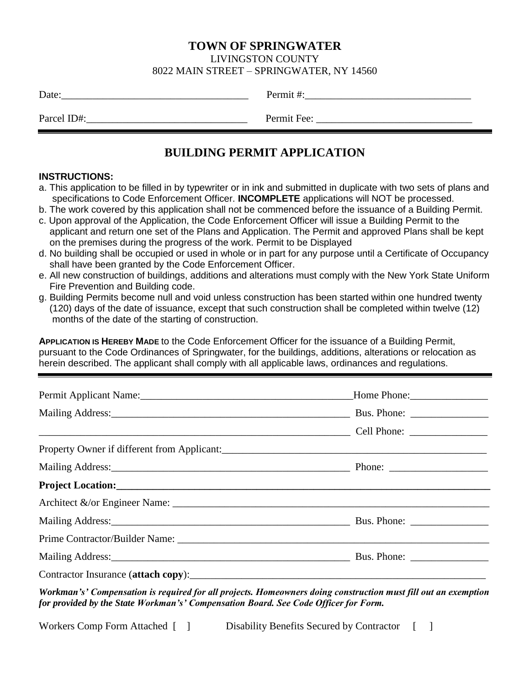## **TOWN OF SPRINGWATER**

LIVINGSTON COUNTY

#### 8022 MAIN STREET – SPRINGWATER, NY 14560

| Date:       | Permit#:    |
|-------------|-------------|
| Parcel ID#: | Permit Fee: |
|             |             |

# **BUILDING PERMIT APPLICATION**

#### **INSTRUCTIONS:**

- a. This application to be filled in by typewriter or in ink and submitted in duplicate with two sets of plans and specifications to Code Enforcement Officer. **INCOMPLETE** applications will NOT be processed.
- b. The work covered by this application shall not be commenced before the issuance of a Building Permit.
- c. Upon approval of the Application, the Code Enforcement Officer will issue a Building Permit to the applicant and return one set of the Plans and Application. The Permit and approved Plans shall be kept on the premises during the progress of the work. Permit to be Displayed
- d. No building shall be occupied or used in whole or in part for any purpose until a Certificate of Occupancy shall have been granted by the Code Enforcement Officer.
- e. All new construction of buildings, additions and alterations must comply with the New York State Uniform Fire Prevention and Building code.
- g. Building Permits become null and void unless construction has been started within one hundred twenty (120) days of the date of issuance, except that such construction shall be completed within twelve (12) months of the date of the starting of construction.

**APPLICATION IS HEREBY MADE** to the Code Enforcement Officer for the issuance of a Building Permit, pursuant to the Code Ordinances of Springwater, for the buildings, additions, alterations or relocation as herein described. The applicant shall comply with all applicable laws, ordinances and regulations.

| Permit Applicant Name: 1988 and 2008 and 2008 and 2008 and 2008 and 2008 and 2008 and 2008 and 2008 and 2008 and 2008 and 2008 and 2008 and 2008 and 2008 and 2008 and 2008 and 2008 and 2008 and 2008 and 2008 and 2008 and 2 |  |
|--------------------------------------------------------------------------------------------------------------------------------------------------------------------------------------------------------------------------------|--|
|                                                                                                                                                                                                                                |  |
|                                                                                                                                                                                                                                |  |
|                                                                                                                                                                                                                                |  |
|                                                                                                                                                                                                                                |  |
|                                                                                                                                                                                                                                |  |
|                                                                                                                                                                                                                                |  |
|                                                                                                                                                                                                                                |  |
|                                                                                                                                                                                                                                |  |
| Mailing Address: Bus. Phone: Bus. Phone: 2004.                                                                                                                                                                                 |  |
|                                                                                                                                                                                                                                |  |

*Workman's' Compensation is required for all projects. Homeowners doing construction must fill out an exemption for provided by the State Workman's' Compensation Board. See Code Officer for Form.*

Workers Comp Form Attached [ ] Disability Benefits Secured by Contractor [ ]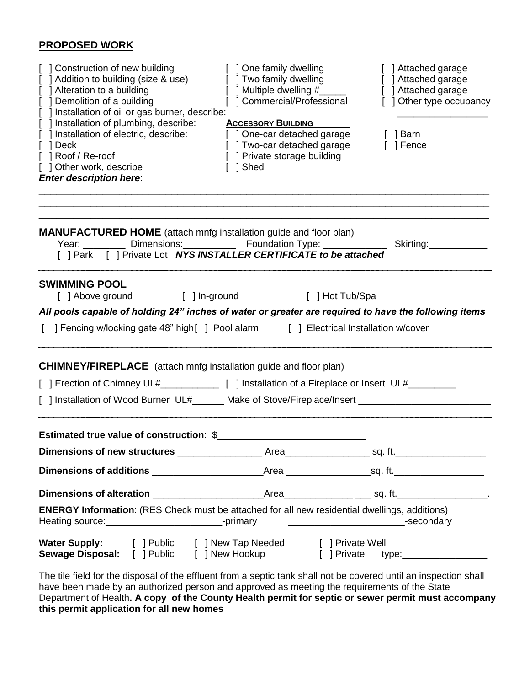# **PROPOSED WORK**

| [ ] Construction of new building<br>Addition to building (size & use)<br>] Alteration to a building<br>] Demolition of a building<br>] Installation of oil or gas burner, describe:                                                                 | [ ] One family dwelling<br>$\begin{bmatrix} 1 & \text{Two family)} & \text{Equation:} \\ 1 & \text{Multi-1} & \text{Matrix:} \\ 0 & \text{Matrix:} \end{bmatrix}$<br>[ ] Multiple dwelling #_____<br>[] Commercial/Professional | [ ] Attached garage<br>[ ] Attached garage<br>[ ] Attached garage<br>[ ] Other type occupancy |  |  |
|-----------------------------------------------------------------------------------------------------------------------------------------------------------------------------------------------------------------------------------------------------|---------------------------------------------------------------------------------------------------------------------------------------------------------------------------------------------------------------------------------|-----------------------------------------------------------------------------------------------|--|--|
| [ ] Installation of plumbing, describe:<br>] Installation of electric, describe:<br>[ ] Deck<br>[ ] Roof / Re-roof<br>[ ] Other work, describe<br><b>Enter description here:</b>                                                                    | <b>ACCESSORY BUILDING</b><br>[ ] One-car detached garage<br>[ ] Two-car detached garage [ ] Fence<br>[ ] Private storage building<br>Shed                                                                                       | [ ] Barn                                                                                      |  |  |
| <b>MANUFACTURED HOME</b> (attach mnfg installation guide and floor plan)<br>Year: _________ Dimensions: ___________ Foundation Type: _____________ Skirting: __________<br>[ ] Park [ ] Private Lot <b>NYS INSTALLER CERTIFICATE to be attached</b> |                                                                                                                                                                                                                                 |                                                                                               |  |  |
| <b>SWIMMING POOL</b><br>[] Above ground [] In-ground [] Hot Tub/Spa                                                                                                                                                                                 |                                                                                                                                                                                                                                 |                                                                                               |  |  |
| All pools capable of holding 24" inches of water or greater are required to have the following items<br>[ ] Fencing w/locking gate 48" high [ ] Pool alarm [ ] Electrical Installation w/cover                                                      |                                                                                                                                                                                                                                 |                                                                                               |  |  |
| <b>CHIMNEY/FIREPLACE</b> (attach mnfg installation guide and floor plan)                                                                                                                                                                            |                                                                                                                                                                                                                                 |                                                                                               |  |  |
|                                                                                                                                                                                                                                                     |                                                                                                                                                                                                                                 |                                                                                               |  |  |
| [ ] Installation of Wood Burner UL#______ Make of Stove/Fireplace/Insert __________________________                                                                                                                                                 |                                                                                                                                                                                                                                 |                                                                                               |  |  |
| Estimated true value of construction: \$                                                                                                                                                                                                            |                                                                                                                                                                                                                                 |                                                                                               |  |  |
|                                                                                                                                                                                                                                                     |                                                                                                                                                                                                                                 |                                                                                               |  |  |
|                                                                                                                                                                                                                                                     |                                                                                                                                                                                                                                 |                                                                                               |  |  |
|                                                                                                                                                                                                                                                     |                                                                                                                                                                                                                                 |                                                                                               |  |  |
| <b>ENERGY Information:</b> (RES Check must be attached for all new residential dwellings, additions)                                                                                                                                                |                                                                                                                                                                                                                                 |                                                                                               |  |  |
| Water Supply: [ ] Public [ ] New Tap Needed [ ] Private Well<br>Sewage Disposal: [ ] Public [ ] New Hookup [ ] Private type:____________________                                                                                                    |                                                                                                                                                                                                                                 |                                                                                               |  |  |
| The tile field fer the disposal of the effluent from a centia taple shall not be equated until on increation shall                                                                                                                                  |                                                                                                                                                                                                                                 |                                                                                               |  |  |

The tile field for the disposal of the effluent from a septic tank shall not be covered until an inspection shall have been made by an authorized person and approved as meeting the requirements of the State Department of Health**. A copy of the County Health permit for septic or sewer permit must accompany this permit application for all new homes**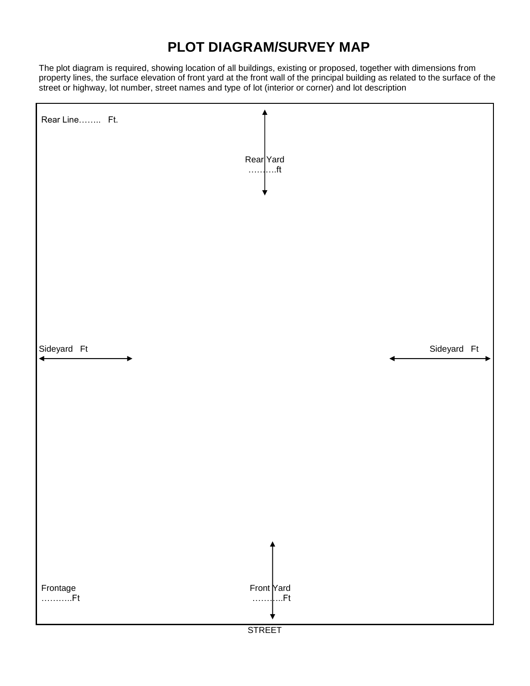# **PLOT DIAGRAM/SURVEY MAP**

The plot diagram is required, showing location of all buildings, existing or proposed, together with dimensions from property lines, the surface elevation of front yard at the front wall of the principal building as related to the surface of the street or highway, lot number, street names and type of lot (interior or corner) and lot description

| Rear Line Ft.  | Rear Yard<br>$$ ft                               |
|----------------|--------------------------------------------------|
| Sideyard Ft    | Sideyard Ft                                      |
|                |                                                  |
| Frontage<br>Ft | Front Yard<br><mark>.</mark> Ft<br><b>STREET</b> |